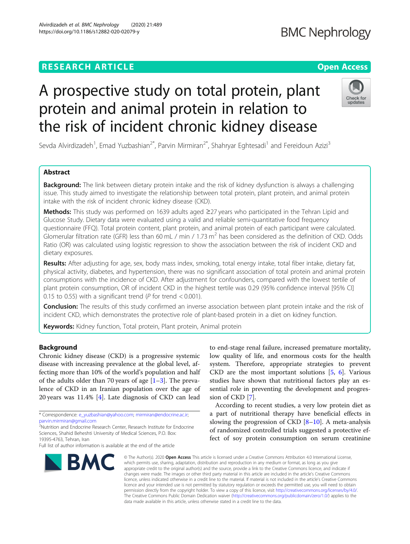### **RESEARCH ARTICLE Example 2014 12:30 The Contract of Contract ACCESS**

# A prospective study on total protein, plant protein and animal protein in relation to the risk of incident chronic kidney disease

Sevda Alvirdizadeh<sup>1</sup>, Emad Yuzbashian<sup>2\*</sup>, Parvin Mirmiran<sup>2\*</sup>, Shahryar Eghtesadi<sup>1</sup> and Fereidoun Azizi<sup>3</sup>

#### Abstract

**Background:** The link between dietary protein intake and the risk of kidney dysfunction is always a challenging issue. This study aimed to investigate the relationship between total protein, plant protein, and animal protein intake with the risk of incident chronic kidney disease (CKD).

Methods: This study was performed on 1639 adults aged ≥27 years who participated in the Tehran Lipid and Glucose Study. Dietary data were evaluated using a valid and reliable semi-quantitative food frequency questionnaire (FFQ). Total protein content, plant protein, and animal protein of each participant were calculated. Glomerular filtration rate (GFR) less than 60 mL / min / 1.73 m<sup>2</sup> has been considered as the definition of CKD. Odds Ratio (OR) was calculated using logistic regression to show the association between the risk of incident CKD and dietary exposures.

Results: After adjusting for age, sex, body mass index, smoking, total energy intake, total fiber intake, dietary fat, physical activity, diabetes, and hypertension, there was no significant association of total protein and animal protein consumptions with the incidence of CKD. After adjustment for confounders, compared with the lowest tertile of plant protein consumption, OR of incident CKD in the highest tertile was 0.29 (95% confidence interval [95% CI] 0.15 to 0.55) with a significant trend ( $P$  for trend < 0.001).

Conclusion: The results of this study confirmed an inverse association between plant protein intake and the risk of incident CKD, which demonstrates the protective role of plant-based protein in a diet on kidney function.

Keywords: Kidney function, Total protein, Plant protein, Animal protein

#### Background

Chronic kidney disease (CKD) is a progressive systemic disease with increasing prevalence at the global level, affecting more than 10% of the world's population and half of the adults older than 70 years of age  $[1-3]$  $[1-3]$  $[1-3]$  $[1-3]$  $[1-3]$ . The prevalence of CKD in an Iranian population over the age of 20 years was 11.4% [[4\]](#page-6-0). Late diagnosis of CKD can lead

\* Correspondence: [e\\_yuzbashian@yahoo.com;](mailto:e_yuzbashian@yahoo.com) [mirmiran@endocrine.ac.ir;](mailto:mirmiran@endocrine.ac.ir) [parvin.mirmiran@gmail.com](mailto:parvin.mirmiran@gmail.com)

<sup>2</sup>Nutrition and Endocrine Research Center, Research Institute for Endocrine Sciences, Shahid Beheshti University of Medical Sciences, P.O. Box: 19395-4763, Tehran, Iran

Full list of author information is available at the end of the article

### to end-stage renal failure, increased premature mortality, low quality of life, and enormous costs for the health system. Therefore, appropriate strategies to prevent CKD are the most important solutions  $[5, 6]$  $[5, 6]$  $[5, 6]$ . Various studies have shown that nutritional factors play an essential role in preventing the development and progression of CKD [[7\]](#page-6-0).

According to recent studies, a very low protein diet as a part of nutritional therapy have beneficial effects in slowing the progression of CKD  $[8-10]$  $[8-10]$  $[8-10]$  $[8-10]$ . A meta-analysis of randomized controlled trials suggested a protective effect of soy protein consumption on serum creatinine

© The Author(s), 2020 **Open Access** This article is licensed under a Creative Commons Attribution 4.0 International License, which permits use, sharing, adaptation, distribution and reproduction in any medium or format, as long as you give appropriate credit to the original author(s) and the source, provide a link to the Creative Commons licence, and indicate if changes were made. The images or other third party material in this article are included in the article's Creative Commons licence, unless indicated otherwise in a credit line to the material. If material is not included in the article's Creative Commons licence and your intended use is not permitted by statutory regulation or exceeds the permitted use, you will need to obtain permission directly from the copyright holder. To view a copy of this licence, visit [http://creativecommons.org/licenses/by/4.0/.](http://creativecommons.org/licenses/by/4.0/) The Creative Commons Public Domain Dedication waiver [\(http://creativecommons.org/publicdomain/zero/1.0/](http://creativecommons.org/publicdomain/zero/1.0/)) applies to the data made available in this article, unless otherwise stated in a credit line to the data.





# **BMC Nephrology**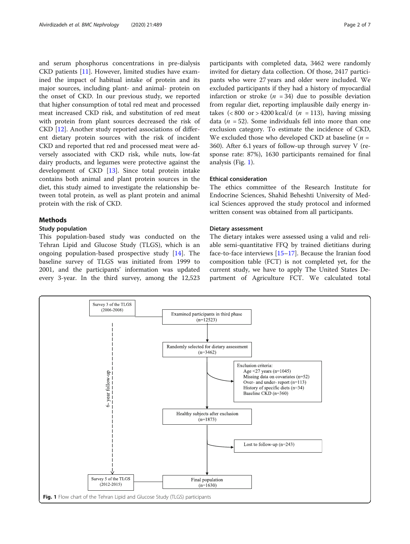and serum phosphorus concentrations in pre-dialysis CKD patients [\[11\]](#page-6-0). However, limited studies have examined the impact of habitual intake of protein and its major sources, including plant- and animal- protein on the onset of CKD. In our previous study, we reported that higher consumption of total red meat and processed meat increased CKD risk, and substitution of red meat with protein from plant sources decreased the risk of CKD [\[12](#page-6-0)]. Another study reported associations of different dietary protein sources with the risk of incident CKD and reported that red and processed meat were adversely associated with CKD risk, while nuts, low-fat dairy products, and legumes were protective against the development of CKD [[13\]](#page-6-0). Since total protein intake contains both animal and plant protein sources in the diet, this study aimed to investigate the relationship between total protein, as well as plant protein and animal protein with the risk of CKD.

#### **Methods**

#### Study population

This population-based study was conducted on the Tehran Lipid and Glucose Study (TLGS), which is an ongoing population-based prospective study [[14\]](#page-6-0). The baseline survey of TLGS was initiated from 1999 to 2001, and the participants' information was updated every 3-year. In the third survey, among the 12,523

participants with completed data, 3462 were randomly invited for dietary data collection. Of those, 2417 participants who were 27 years and older were included. We excluded participants if they had a history of myocardial infarction or stroke ( $n = 34$ ) due to possible deviation from regular diet, reporting implausible daily energy intakes  $(< 800$  or  $> 4200$  kcal/d ( $n = 113$ ), having missing data ( $n = 52$ ). Some individuals fell into more than one exclusion category. To estimate the incidence of CKD, We excluded those who developed CKD at baseline  $(n =$ 360). After 6.1 years of follow-up through survey V (response rate: 87%), 1630 participants remained for final analysis (Fig. 1).

#### Ethical consideration

The ethics committee of the Research Institute for Endocrine Sciences, Shahid Beheshti University of Medical Sciences approved the study protocol and informed written consent was obtained from all participants.

#### Dietary assessment

The dietary intakes were assessed using a valid and reliable semi-quantitative FFQ by trained dietitians during face-to-face interviews [[15](#page-6-0)–[17](#page-6-0)]. Because the Iranian food composition table (FCT) is not completed yet, for the current study, we have to apply The United States Department of Agriculture FCT. We calculated total

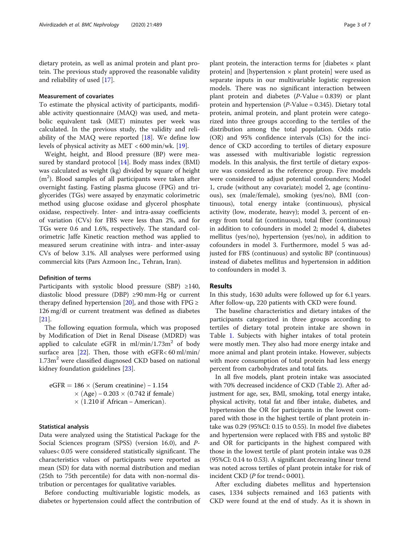dietary protein, as well as animal protein and plant protein. The previous study approved the reasonable validity and reliability of used [\[17](#page-6-0)].

#### Measurement of covariates

To estimate the physical activity of participants, modifiable activity questionnaire (MAQ) was used, and metabolic equivalent task (MET) minutes per week was calculated. In the previous study, the validity and reliability of the MAQ were reported [[18\]](#page-6-0). We define low levels of physical activity as MET < 600 min/wk. [\[19](#page-6-0)].

Weight, height, and Blood pressure (BP) were mea-sured by standard protocol [[14](#page-6-0)]. Body mass index (BMI) was calculated as weight (kg) divided by square of height (m<sup>2</sup>). Blood samples of all participants were taken after overnight fasting. Fasting plasma glucose (FPG) and triglycerides (TGs) were assayed by enzymatic colorimetric method using glucose oxidase and glycerol phosphate oxidase, respectively. Inter- and intra-assay coefficients of variation (CVs) for FBS were less than 2%, and for TGs were 0.6 and 1.6%, respectively. The standard colorimetric Jaffe Kinetic reaction method was applied to measured serum creatinine with intra- and inter-assay CVs of below 3.1%. All analyses were performed using commercial kits (Pars Azmoon Inc., Tehran, Iran).

#### Definition of terms

Participants with systolic blood pressure (SBP)  $\geq$ 140, diastolic blood pressure (DBP) ≥90 mm-Hg or current therapy defined hypertension [[20\]](#page-6-0), and those with FPG  $\ge$ 126 mg/dl or current treatment was defined as diabetes [[21\]](#page-6-0).

The following equation formula, which was proposed by Modification of Diet in Renal Disease (MDRD) was applied to calculate eGFR in  $ml/min/1.73m<sup>2</sup>$  of body surface area [[22\]](#page-6-0). Then, those with eGFR< 60 ml/min/  $1.73m<sup>2</sup>$  were classified diagnosed CKD based on national kidney foundation guidelines [\[23\]](#page-6-0).

 $eGFR = 186 \times (Serum creationine) - 1.154$  $\times$  (Age) – 0.203  $\times$  (0.742 if female)  $\times$  (1.210 if African – American).

#### Statistical analysis

Data were analyzed using the Statistical Package for the Social Sciences program (SPSS) (version 16.0), and Pvalues< 0.05 were considered statistically significant. The characteristics values of participants were reported as mean (SD) for data with normal distribution and median (25th to 75th percentile) for data with non-normal distribution or percentages for qualitative variables.

Before conducting multivariable logistic models, as diabetes or hypertension could affect the contribution of

plant protein, the interaction terms for [diabetes  $\times$  plant protein] and [hypertension  $\times$  plant protein] were used as separate inputs in our multivariable logistic regression models. There was no significant interaction between plant protein and diabetes  $(P-Value = 0.839)$  or plant protein and hypertension  $(P-Value = 0.345)$ . Dietary total protein, animal protein, and plant protein were categorized into three groups according to the tertiles of the distribution among the total population. Odds ratio (OR) and 95% confidence intervals (CIs) for the incidence of CKD according to tertiles of dietary exposure was assessed with multivariable logistic regression models. In this analysis, the first tertile of dietary exposure was considered as the reference group. Five models were considered to adjust potential confounders; Model 1, crude (without any covariate); model 2, age (continuous), sex (male/female), smoking (yes/no), BMI (continuous), total energy intake (continuous), physical activity (low, moderate, heavy); model 3, percent of energy from total fat (continuous), total fiber (continuous) in addition to cofounders in model 2; model 4, diabetes mellitus (yes/no), hypertension (yes/no), in addition to cofounders in model 3. Furthermore, model 5 was adjusted for FBS (continuous) and systolic BP (continuous) instead of diabetes mellitus and hypertension in addition to confounders in model 3.

#### Results

In this study, 1630 adults were followed up for 6.1 years. After follow-up, 220 patients with CKD were found.

The baseline characteristics and dietary intakes of the participants categorized in three groups according to tertiles of dietary total protein intake are shown in Table [1.](#page-3-0) Subjects with higher intakes of total protein were mostly men. They also had more energy intake and more animal and plant protein intake. However, subjects with more consumption of total protein had less energy percent from carbohydrates and total fats.

In all five models, plant protein intake was associated with 70% decreased incidence of CKD (Table [2](#page-4-0)). After adjustment for age, sex, BMI, smoking, total energy intake, physical activity, total fat and fiber intake, diabetes, and hypertension the OR for participants in the lowest compared with those in the highest tertile of plant protein intake was 0.29 (95%CI: 0.15 to 0.55). In model five diabetes and hypertension were replaced with FBS and systolic BP and OR for participants in the highest compared with those in the lowest tertile of plant protein intake was 0.28 (95%CI: 0.14 to 0.53). A significant decreasing linear trend was noted across tertiles of plant protein intake for risk of incident CKD (P for trend< 0·001).

After excluding diabetes mellitus and hypertension cases, 1334 subjects remained and 163 patients with CKD were found at the end of study. As it is shown in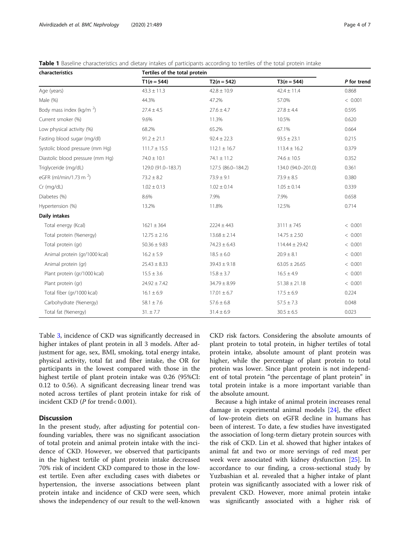<span id="page-3-0"></span>

| characteristics                    | Tertiles of the total protein |                    |                    |             |  |
|------------------------------------|-------------------------------|--------------------|--------------------|-------------|--|
|                                    | $T1(n = 544)$                 | $T2(n = 542)$      | $T3(n = 544)$      | P for trend |  |
| Age (years)                        | $43.3 \pm 11.3$               | $42.8 \pm 10.9$    | $42.4 \pm 11.4$    | 0.868       |  |
| Male (%)                           | 44.3%                         | 47.2%              | 57.0%              | < 0.001     |  |
| Body mass index (kg/m $^2$ )       | $27.4 \pm 4.5$                | $27.6 \pm 4.7$     | $27.8 \pm 4.4$     | 0.595       |  |
| Current smoker (%)                 | 9.6%                          | 11.3%              | 10.5%              | 0.620       |  |
| Low physical activity (%)          | 68.2%                         | 65.2%              | 67.1%              | 0.664       |  |
| Fasting blood sugar (mg/dl)        | $91.2 \pm 21.1$               | $92.4 \pm 22.3$    | $93.5 \pm 23.1$    | 0.215       |  |
| Systolic blood pressure (mm Hg)    | $111.7 \pm 15.5$              | $112.1 \pm 16.7$   | $113.4 \pm 16.2$   | 0.379       |  |
| Diastolic blood pressure (mm Hg)   | $74.0 \pm 10.1$               | $74.1 \pm 11.2$    | $74.6 \pm 10.5$    | 0.352       |  |
| Triglyceride (mg/dL)               | 129.0 (91.0-183.7)            | 127.5 (86.0-184.2) | 134.0 (94.0-201.0) | 0.361       |  |
| eGFR (ml/min/1.73 m <sup>2</sup> ) | $73.2 \pm 8.2$                | $73.9 \pm 9.1$     | $73.9 \pm 8.5$     | 0.380       |  |
| Cr (mg/dL)                         | $1.02 \pm 0.13$               | $1.02 \pm 0.14$    | $1.05 \pm 0.14$    | 0.339       |  |
| Diabetes (%)                       | 8.6%                          | 7.9%               | 7.9%               | 0.658       |  |
| Hypertension (%)                   | 13.2%                         | 11.8%              | 12.5%              | 0.714       |  |
| Daily intakes                      |                               |                    |                    |             |  |
| Total energy (Kcal)                | $1621 \pm 364$                | $2224 \pm 443$     | $3111 \pm 745$     | < 0.001     |  |
| Total protein (%energy)            | $12.75 \pm 2.16$              | $13.68 \pm 2.14$   | $14.75 \pm 2.50$   | < 0.001     |  |
| Total protein (gr)                 | $50.36 \pm 9.83$              | $74.23 \pm 6.43$   | $114.44 \pm 29.42$ | < 0.001     |  |
| Animal protein (gr/1000 kcal)      | $16.2 \pm 5.9$                | $18.5 \pm 6.0$     | $20.9 \pm 8.1$     | < 0.001     |  |
| Animal protein (gr)                | $25.43 \pm 8.33$              | $39.43 \pm 9.18$   | $63.05 \pm 26.65$  | < 0.001     |  |
| Plant protein (gr/1000 kcal)       | $15.5 \pm 3.6$                | $15.8 \pm 3.7$     | $16.5 \pm 4.9$     | < 0.001     |  |
| Plant protein (gr)                 | $24.92 \pm 7.42$              | $34.79 \pm 8.99$   | $51.38 \pm 21.18$  | < 0.001     |  |
| Total fiber (gr/1000 kcal)         | $16.1 \pm 6.9$                | $17.01 \pm 6.7$    | $17.5 \pm 6.9$     | 0.224       |  |
| Carbohydrate (%energy)             | $58.1 \pm 7.6$                | $57.6 \pm 6.8$     | $57.5 \pm 7.3$     | 0.048       |  |
| Total fat (%energy)                | $31. \pm 7.7$                 | $31.4 \pm 6.9$     | $30.5 \pm 6.5$     | 0.023       |  |

Table [3,](#page-4-0) incidence of CKD was significantly decreased in higher intakes of plant protein in all 3 models. After adjustment for age, sex, BMI, smoking, total energy intake, physical activity, total fat and fiber intake, the OR for participants in the lowest compared with those in the highest tertile of plant protein intake was 0.26 (95%CI: 0.12 to 0.56). A significant decreasing linear trend was noted across tertiles of plant protein intake for risk of incident CKD (P for trend< 0.001).

#### **Discussion**

In the present study, after adjusting for potential confounding variables, there was no significant association of total protein and animal protein intake with the incidence of CKD. However, we observed that participants in the highest tertile of plant protein intake decreased 70% risk of incident CKD compared to those in the lowest tertile. Even after excluding cases with diabetes or hypertension, the inverse associations between plant protein intake and incidence of CKD were seen, which shows the independency of our result to the well-known CKD risk factors. Considering the absolute amounts of plant protein to total protein, in higher tertiles of total protein intake, absolute amount of plant protein was higher, while the percentage of plant protein to total protein was lower. Since plant protein is not independent of total protein "the percentage of plant protein" in total protein intake is a more important variable than the absolute amount.

Because a high intake of animal protein increases renal damage in experimental animal models [[24](#page-6-0)], the effect of low-protein diets on eGFR decline in humans has been of interest. To date, a few studies have investigated the association of long-term dietary protein sources with the risk of CKD. Lin et al. showed that higher intakes of animal fat and two or more servings of red meat per week were associated with kidney dysfunction [[25\]](#page-6-0). In accordance to our finding, a cross-sectional study by Yuzbashian et al. revealed that a higher intake of plant protein was significantly associated with a lower risk of prevalent CKD. However, more animal protein intake was significantly associated with a higher risk of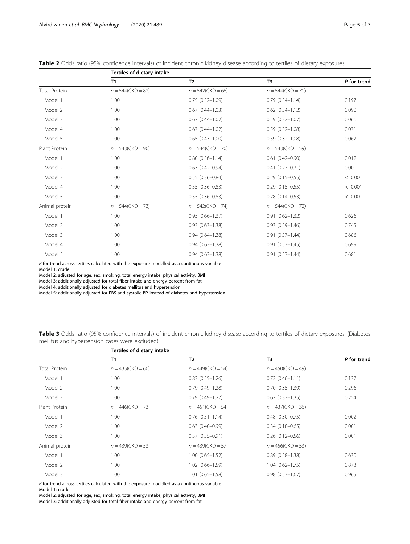#### <span id="page-4-0"></span>Table 2 Odds ratio (95% confidence intervals) of incident chronic kidney disease according to tertiles of dietary exposures

|                      | Tertiles of dietary intake |                        |                        |             |  |  |
|----------------------|----------------------------|------------------------|------------------------|-------------|--|--|
|                      | T1                         | T <sub>2</sub>         | T <sub>3</sub>         | P for trend |  |  |
| <b>Total Protein</b> | $n = 544(CKD = 82)$        | $n = 542(CKD = 66)$    | $n = 544(CKD = 71)$    |             |  |  |
| Model 1              | 1.00                       | $0.75(0.52 - 1.09)$    | $0.79(0.54 - 1.14)$    | 0.197       |  |  |
| Model 2              | 1.00                       | $0.67$ $(0.44 - 1.03)$ | $0.62$ $(0.34 - 1.12)$ | 0.090       |  |  |
| Model 3              | 1.00                       | $0.67$ $(0.44 - 1.02)$ | $0.59(0.32 - 1.07)$    | 0.066       |  |  |
| Model 4              | 1.00                       | $0.67$ $(0.44 - 1.02)$ | $0.59(0.32 - 1.08)$    | 0.071       |  |  |
| Model 5              | 1.00                       | $0.65(0.43 - 1.00)$    | $0.59(0.32 - 1.08)$    | 0.067       |  |  |
| Plant Protein        | $n = 543(CKD = 90)$        | $n = 544$ (CKD = 70)   | $n = 543$ (CKD = 59)   |             |  |  |
| Model 1              | 1.00                       | $0.80(0.56 - 1.14)$    | $0.61(0.42 - 0.90)$    | 0.012       |  |  |
| Model 2              | 1.00                       | $0.63$ $(0.42 - 0.94)$ | $0.41(0.23 - 0.71)$    | 0.001       |  |  |
| Model 3              | 1.00                       | $0.55(0.36 - 0.84)$    | $0.29(0.15 - 0.55)$    | < 0.001     |  |  |
| Model 4              | 1.00                       | $0.55(0.36 - 0.83)$    | $0.29(0.15 - 0.55)$    | < 0.001     |  |  |
| Model 5              | 1.00                       | $0.55(0.36 - 0.83)$    | $0.28(0.14 - 0.53)$    | < 0.001     |  |  |
| Animal protein       | $n = 544(CKD = 73)$        | $n = 542$ (CKD = 74)   | $n = 544$ (CKD = 72)   |             |  |  |
| Model 1              | 1.00                       | $0.95(0.66 - 1.37)$    | $0.91(0.62 - 1.32)$    | 0.626       |  |  |
| Model 2              | 1.00                       | $0.93(0.63 - 1.38)$    | $0.93(0.59 - 1.46)$    | 0.745       |  |  |
| Model 3              | 1.00                       | $0.94(0.64 - 1.38)$    | $0.91(0.57 - 1.44)$    | 0.686       |  |  |
| Model 4              | 1.00                       | $0.94(0.63 - 1.38)$    | $0.91(0.57 - 1.45)$    | 0.699       |  |  |
| Model 5              | 1.00                       | $0.94(0.63 - 1.38)$    | $0.91(0.57 - 1.44)$    | 0.681       |  |  |

 $\overline{P}$  for trend across tertiles calculated with the exposure modelled as a continuous variable

Model 2: adjusted for age, sex, smoking, total energy intake, physical activity, BMI

Model 3: additionally adjusted for total fiber intake and energy percent from fat

Model 4: additionally adjusted for diabetes mellitus and hypertension

Model 5: additionally adjusted for FBS and systolic BP instead of diabetes and hypertension

| Table 3 Odds ratio (95% confidence intervals) of incident chronic kidney disease according to tertiles of dietary exposures. (Diabetes |  |  |  |  |
|----------------------------------------------------------------------------------------------------------------------------------------|--|--|--|--|
| mellitus and hypertension cases were excluded)                                                                                         |  |  |  |  |

|                      | Tertiles of dietary intake |                        |                      |             |  |
|----------------------|----------------------------|------------------------|----------------------|-------------|--|
|                      | T1                         | T2                     | T3                   | P for trend |  |
| <b>Total Protein</b> | $n = 435(CKD = 60)$        | $n = 449$ (CKD = 54)   | $n = 450$ (CKD = 49) |             |  |
| Model 1              | 1.00                       | $0.83(0.55 - 1.26)$    | $0.72(0.46 - 1.11)$  | 0.137       |  |
| Model 2              | 1.00                       | $0.79(0.49 - 1.28)$    | $0.70(0.35 - 1.39)$  | 0.296       |  |
| Model 3              | 1.00                       | $0.79(0.49 - 1.27)$    | $0.67(0.33 - 1.35)$  | 0.254       |  |
| Plant Protein        | $n = 446$ (CKD = 73)       | $n = 451(CKD = 54)$    | $n = 437$ (CKD = 36) |             |  |
| Model 1              | 1.00                       | $0.76$ $(0.51 - 1.14)$ | $0.48(0.30 - 0.75)$  | 0.002       |  |
| Model 2              | 1.00                       | $0.63$ $(0.40 - 0.99)$ | $0.34(0.18 - 0.65)$  | 0.001       |  |
| Model 3              | 1.00                       | $0.57(0.35 - 0.91)$    | $0.26(0.12 - 0.56)$  | 0.001       |  |
| Animal protein       | $n = 439$ (CKD = 53)       | $n = 439$ (CKD = 57)   | $n = 456$ (CKD = 53) |             |  |
| Model 1              | 1.00                       | $1.00(0.65 - 1.52)$    | $0.89(0.58 - 1.38)$  | 0.630       |  |
| Model 2              | 1.00                       | $1.02(0.66 - 1.59)$    | $1.04(0.62 - 1.75)$  | 0.873       |  |
| Model 3              | 1.00                       | $1.01(0.65 - 1.58)$    | $0.98(0.57 - 1.67)$  | 0.965       |  |

P for trend across tertiles calculated with the exposure modelled as a continuous variable Model 1: crude

Model 2: adjusted for age, sex, smoking, total energy intake, physical activity, BMI

Model 3: additionally adjusted for total fiber intake and energy percent from fat

Model 1: crude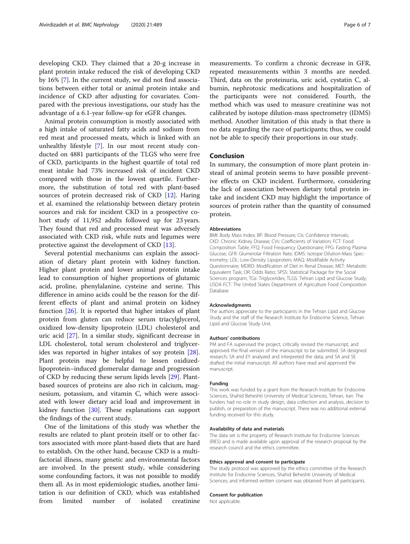developing CKD. They claimed that a 20-g increase in plant protein intake reduced the risk of developing CKD by 16% [[7\]](#page-6-0). In the current study, we did not find associations between either total or animal protein intake and incidence of CKD after adjusting for covariates. Compared with the previous investigations, our study has the advantage of a 6.1-year follow-up for eGFR changes.

Animal protein consumption is mostly associated with a high intake of saturated fatty acids and sodium from red meat and processed meats, which is linked with an unhealthy lifestyle [[7\]](#page-6-0). In our most recent study conducted on 4881 participants of the TLGS who were free of CKD, participants in the highest quartile of total red meat intake had 73% increased risk of incident CKD compared with those in the lowest quartile. Furthermore, the substitution of total red with plant-based sources of protein decreased risk of CKD [[12](#page-6-0)]. Haring et al. examined the relationship between dietary protein sources and risk for incident CKD in a prospective cohort study of 11,952 adults followed up for 23 years. They found that red and processed meat was adversely associated with CKD risk, while nuts and legumes were protective against the development of CKD [\[13](#page-6-0)].

Several potential mechanisms can explain the association of dietary plant protein with kidney function. Higher plant protein and lower animal protein intake lead to consumption of higher proportions of glutamic acid, proline, phenylalanine, cysteine and serine. This difference in amino acids could be the reason for the different effects of plant and animal protein on kidney function [[26\]](#page-6-0). It is reported that higher intakes of plant protein from gluten can reduce serum triacylglycerol, oxidized low-density lipoprotein (LDL) cholesterol and uric acid [[27\]](#page-6-0). In a similar study, significant decrease in LDL cholesterol, total serum cholesterol and triglycerides was reported in higher intakes of soy protein [\[28](#page-6-0)]. Plant protein may be helpful to lessen oxidizedlipoprotein–induced glomerular damage and progression of CKD by reducing these serum lipids levels [[29\]](#page-6-0). Plantbased sources of proteins are also rich in calcium, magnesium, potassium, and vitamin C, which were associated with lower dietary acid load and improvement in kidney function [\[30\]](#page-6-0). These explanations can support the findings of the current study.

One of the limitations of this study was whether the results are related to plant protein itself or to other factors associated with more plant-based diets that are hard to establish. On the other hand, because CKD is a multifactorial illness, many genetic and environmental factors are involved. In the present study, while considering some confounding factors, it was not possible to modify them all. As in most epidemiologic studies, another limitation is our definition of CKD, which was established from limited number of isolated creatinine

measurements. To confirm a chronic decrease in GFR, repeated measurements within 3 months are needed. Third, data on the proteinuria, uric acid, cystatin C, albumin, nephrotoxic medications and hospitalization of the participants were not considered. Fourth, the method which was used to measure creatinine was not calibrated by isotope dilution-mass spectrometry (IDMS) method. Another limitation of this study is that there is no data regarding the race of participants; thus, we could not be able to specify their proportions in our study.

#### Conclusion

In summary, the consumption of more plant protein instead of animal protein seems to have possible preventive effects on CKD incident. Furthermore, considering the lack of association between dietary total protein intake and incident CKD may highlight the importance of sources of protein rather than the quantity of consumed protein.

#### Abbreviations

BMI: Body Mass Index; BP: Blood Pressure; CIs: Confidence Intervals; CKD: Chronic Kidney Disease; CVs: Coefficients of Variation; FCT: Food Composition Table; FFQ: Food Frequency Questionaire; FPG: Fasting Plasma Glucose; GFR: Glumerolar Filtration Rate; IDMS: Isotope Dilution-Mass Spectrometry; LDL: Low-Density Lipoprotein; MAQ: Modifiable Activity Questionnaire; MDRD: Modification of Diet in Renal Disease; MET: Metabolic Equivalent Task; OR: Odds Ratio; SPSS: Statistical Package for the Social Sciences program; TGs: Triglycerides; TLGS: Tehran Lipid and Glucose Study; USDA FCT: The United States Department of Agriculture Food Composition Database

#### Acknowledgments

The authors appreciate to the participants in the Tehran Lipid and Glucose Study and the staff of the Research Institute for Endocrine Science, Tehran Lipid and Glucose Study Unit.

#### Authors' contributions

PM and FA supervised the project, critically revised the manuscript, and approved the final version of the manuscript to be submitted. SA designed research; SA and EY analyzed and interpreted the data; and SA and SE drafted the initial manuscript. All authors have read and approved the manuscript.

#### Funding

This work was funded by a grant from the Research Institute for Endocrine Sciences, Shahid Beheshti University of Medical Sciences, Tehran, Iran. The funders had no role in study design, data collection and analysis, decision to publish, or preparation of the manuscript. There was no additional external funding received for this study.

#### Availability of data and materials

The data set is the property of Research Institute for Endocrine Sciences (RIES) and is made available upon approval of the research proposal by the research council and the ethics committee.

#### Ethics approval and consent to participate

The study protocol was approved by the ethics committee of the Research Institute for Endocrine Sciences, Shahid Beheshti University of Medical Sciences, and informed written consent was obtained from all participants.

#### Consent for publication

Not applicable.